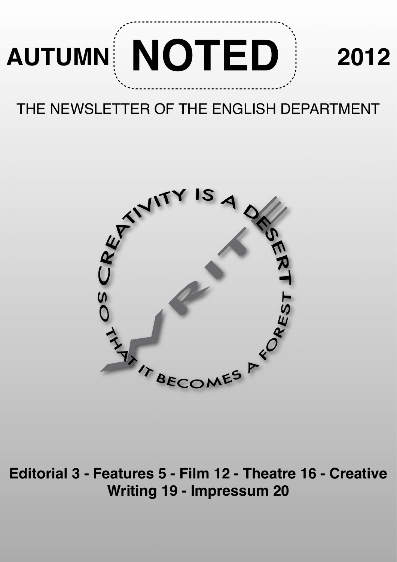

### THE NEWSLETTER OF THE ENGLISH DEPARTMENT



**Editorial 3 - Features 5 - Film 12 - Theatre 16 - Creative Writing 19 - Impressum 20**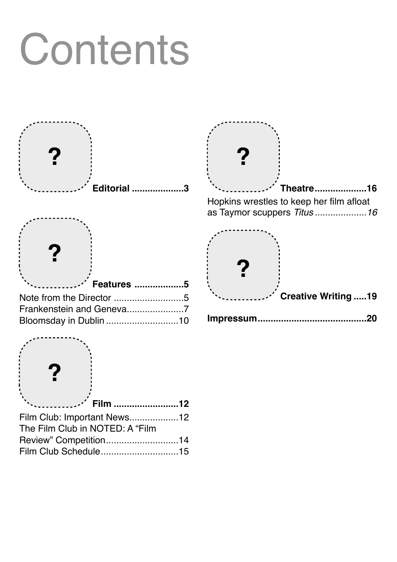# **Contents**



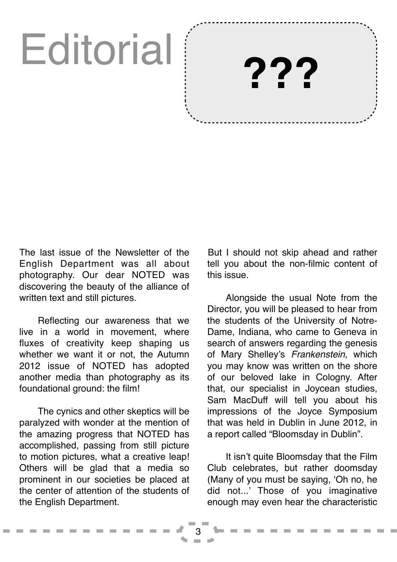## **Editorial**

But I should not skip ahead and rather tell you about the non-filmic content of this issue.

**???**

Alongside the usual Note from the Director, you will be pleased to hear from the students of the University of Notre-Dame, Indiana, who came to Geneva in search of answers regarding the genesis of Mary Shelley's *Frankenstein*, which you may know was written on the shore of our beloved lake in Cologny. After that, our specialist in Joycean studies, Sam MacDuff will tell you about his impressions of the Joyce Symposium that was held in Dublin in June 2012, in a report called "Bloomsday in Dublin".

It isn't quite Bloomsday that the Film Club celebrates, but rather doomsday (Many of you must be saying, 'Oh no, he did not...' Those of you imaginative enough may even hear the characteristic

3

The last issue of the Newsletter of the English Department was all about photography. Our dear NOTED was discovering the beauty of the alliance of written text and still pictures.

Reflecting our awareness that we live in a world in movement, where fluxes of creativity keep shaping us whether we want it or not, the Autumn 2012 issue of NOTED has adopted another media than photography as its foundational ground: the film!

The cynics and other skeptics will be paralyzed with wonder at the mention of the amazing progress that NOTED has accomplished, passing from still picture to motion pictures, what a creative leap! Others will be glad that a media so prominent in our societies be placed at the center of attention of the students of the English Department.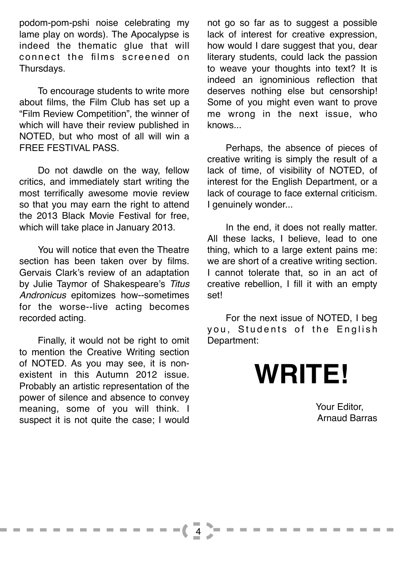podom-pom-pshi noise celebrating my lame play on words). The Apocalypse is indeed the thematic glue that will connect the films screened on Thursdays.

To encourage students to write more about films, the Film Club has set up a "Film Review Competition", the winner of which will have their review published in NOTED, but who most of all will win a FREE FESTIVAL PASS.

Do not dawdle on the way, fellow critics, and immediately start writing the most terrifically awesome movie review so that you may earn the right to attend the 2013 Black Movie Festival for free, which will take place in January 2013.

You will notice that even the Theatre section has been taken over by films. Gervais Clark's review of an adaptation by Julie Taymor of Shakespeare's *Titus Andronicus* epitomizes how--sometimes for the worse--live acting becomes recorded acting.

Finally, it would not be right to omit to mention the Creative Writing section of NOTED. As you may see, it is nonexistent in this Autumn 2012 issue. Probably an artistic representation of the power of silence and absence to convey meaning, some of you will think. I suspect it is not quite the case; I would

4

not go so far as to suggest a possible lack of interest for creative expression, how would I dare suggest that you, dear literary students, could lack the passion to weave your thoughts into text? It is indeed an ignominious reflection that deserves nothing else but censorship! Some of you might even want to prove me wrong in the next issue, who knows...

Perhaps, the absence of pieces of creative writing is simply the result of a lack of time, of visibility of NOTED, of interest for the English Department, or a lack of courage to face external criticism. I genuinely wonder...

In the end, it does not really matter. All these lacks, I believe, lead to one thing, which to a large extent pains me: we are short of a creative writing section. I cannot tolerate that, so in an act of creative rebellion, I fill it with an empty set!

For the next issue of NOTED, I beg you, Students of the English Department:

## **WRITE!**

Your Editor, Arnaud Barras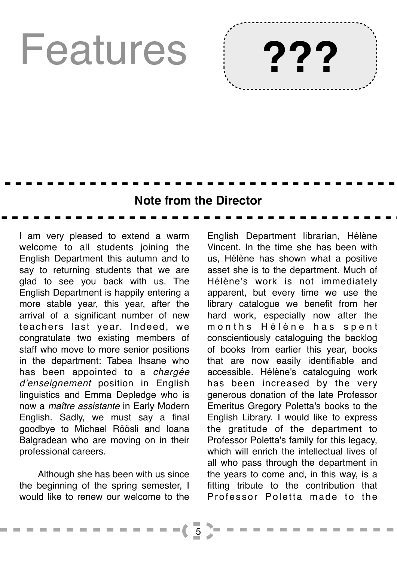## Features



### **Note from the Director**

I am very pleased to extend a warm welcome to all students joining the English Department this autumn and to say to returning students that we are glad to see you back with us. The English Department is happily entering a more stable year, this year, after the arrival of a significant number of new teachers last year. Indeed, we congratulate two existing members of staff who move to more senior positions in the department: Tabea Ihsane who has been appointed to a *chargée d'enseignement* position in English linguistics and Emma Depledge who is now a *maître assistante* in Early Modern English. Sadly, we must say a final goodbye to Michael Röösli and Ioana Balgradean who are moving on in their professional careers.

Although she has been with us since the beginning of the spring semester, I would like to renew our welcome to the

English Department librarian, Hélène Vincent. In the time she has been with us, Hélène has shown what a positive asset she is to the department. Much of Hélène's work is not immediately apparent, but every time we use the library catalogue we benefit from her hard work, especially now after the months Hélène has spent conscientiously cataloguing the backlog of books from earlier this year, books that are now easily identifiable and accessible. Hélène's cataloguing work has been increased by the very generous donation of the late Professor Emeritus Gregory Poletta's books to the English Library. I would like to express the gratitude of the department to Professor Poletta's family for this legacy, which will enrich the intellectual lives of all who pass through the department in the years to come and, in this way, is a fitting tribute to the contribution that Professor Poletta made to the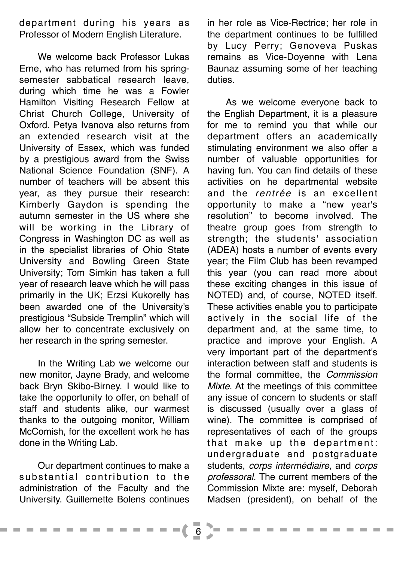department during his years as Professor of Modern English Literature.

We welcome back Professor Lukas Erne, who has returned from his springsemester sabbatical research leave, during which time he was a Fowler Hamilton Visiting Research Fellow at Christ Church College, University of Oxford. Petya Ivanova also returns from an extended research visit at the University of Essex, which was funded by a prestigious award from the Swiss National Science Foundation (SNF). A number of teachers will be absent this year, as they pursue their research: Kimberly Gaydon is spending the autumn semester in the US where she will be working in the Library of Congress in Washington DC as well as in the specialist libraries of Ohio State University and Bowling Green State University; Tom Simkin has taken a full year of research leave which he will pass primarily in the UK; Erzsi Kukorelly has been awarded one of the University's prestigious "Subside Tremplin" which will allow her to concentrate exclusively on her research in the spring semester.

In the Writing Lab we welcome our new monitor, Jayne Brady, and welcome back Bryn Skibo-Birney. I would like to take the opportunity to offer, on behalf of staff and students alike, our warmest thanks to the outgoing monitor, William McComish, for the excellent work he has done in the Writing Lab.

Our department continues to make a  $substantial$  contribution to the administration of the Faculty and the University. Guillemette Bolens continues in her role as Vice-Rectrice; her role in the department continues to be fulfilled by Lucy Perry; Genoveva Puskas remains as Vice-Doyenne with Lena Baunaz assuming some of her teaching duties.

As we welcome everyone back to the English Department, it is a pleasure for me to remind you that while our department offers an academically stimulating environment we also offer a number of valuable opportunities for having fun. You can find details of these activities on he departmental website and the *rentrée* is an excellent opportunity to make a "new year's resolution" to become involved. The theatre group goes from strength to strength; the students' association (ADEA) hosts a number of events every year; the Film Club has been revamped this year (you can read more about these exciting changes in this issue of NOTED) and, of course, NOTED itself. These activities enable you to participate actively in the social life of the department and, at the same time, to practice and improve your English. A very important part of the department's interaction between staff and students is the formal committee, the *Commission Mixte*. At the meetings of this committee any issue of concern to students or staff is discussed (usually over a glass of wine). The committee is comprised of representatives of each of the groups that make up the department: undergraduate and postgraduate students, *corps intermédiaire*, and *corps professoral*. The current members of the Commission Mixte are: myself, Deborah Madsen (president), on behalf of the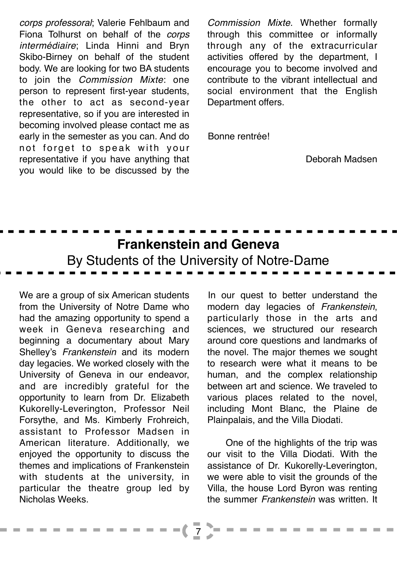*corps professoral*; Valerie Fehlbaum and Fiona Tolhurst on behalf of the *corps intermédiaire*; Linda Hinni and Bryn Skibo-Birney on behalf of the student body. We are looking for two BA students to join the *Commission Mixte*: one person to represent first-year students, the other to act as second-year representative, so if you are interested in becoming involved please contact me as early in the semester as you can. And do not forget to speak with your representative if you have anything that you would like to be discussed by the

*Commission Mixte*. Whether formally through this committee or informally through any of the extracurricular activities offered by the department, I encourage you to become involved and contribute to the vibrant intellectual and social environment that the English Department offers.

Bonne rentrée!

Deborah Madsen

## **Frankenstein and Geneva** By Students of the University of Notre-Dame

We are a group of six American students from the University of Notre Dame who had the amazing opportunity to spend a week in Geneva researching and beginning a documentary about Mary Shelley's *Frankenstein* and its modern day legacies. We worked closely with the University of Geneva in our endeavor, and are incredibly grateful for the opportunity to learn from Dr. Elizabeth Kukorelly-Leverington, Professor Neil Forsythe, and Ms. Kimberly Frohreich, assistant to Professor Madsen in American literature. Additionally, we enjoyed the opportunity to discuss the themes and implications of Frankenstein with students at the university, in particular the theatre group led by Nicholas Weeks.

In our quest to better understand the modern day legacies of *Frankenstein*, particularly those in the arts and sciences, we structured our research around core questions and landmarks of the novel. The major themes we sought to research were what it means to be human, and the complex relationship between art and science. We traveled to various places related to the novel, including Mont Blanc, the Plaine de Plainpalais, and the Villa Diodati.

One of the highlights of the trip was our visit to the Villa Diodati. With the assistance of Dr. Kukorelly-Leverington, we were able to visit the grounds of the Villa, the house Lord Byron was renting the summer *Frankenstein* was written. It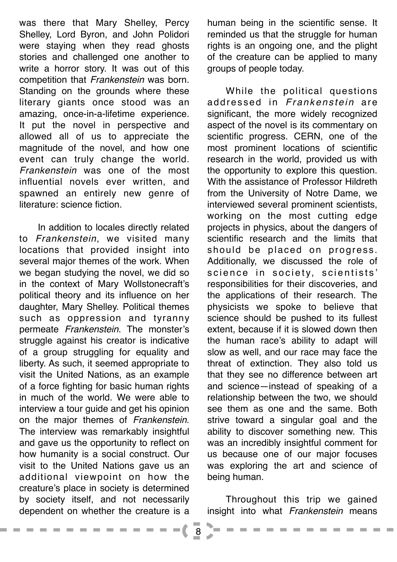was there that Mary Shelley, Percy Shelley, Lord Byron, and John Polidori were staying when they read ghosts stories and challenged one another to write a horror story. It was out of this competition that *Frankenstein* was born. Standing on the grounds where these literary giants once stood was an amazing, once-in-a-lifetime experience. It put the novel in perspective and allowed all of us to appreciate the magnitude of the novel, and how one event can truly change the world. *Frankenstein* was one of the most influential novels ever written, and spawned an entirely new genre of literature: science fiction.

In addition to locales directly related to *Frankenstein*, we visited many locations that provided insight into several major themes of the work. When we began studying the novel, we did so in the context of Mary Wollstonecraft's political theory and its influence on her daughter, Mary Shelley. Political themes such as oppression and tyranny permeate *Frankenstein*. The monster's struggle against his creator is indicative of a group struggling for equality and liberty. As such, it seemed appropriate to visit the United Nations, as an example of a force fighting for basic human rights in much of the world. We were able to interview a tour guide and get his opinion on the major themes of *Frankenstein*. The interview was remarkably insightful and gave us the opportunity to reflect on how humanity is a social construct. Our visit to the United Nations gave us an additional viewpoint on how the creature's place in society is determined by society itself, and not necessarily dependent on whether the creature is a

------

human being in the scientific sense. It reminded us that the struggle for human rights is an ongoing one, and the plight of the creature can be applied to many groups of people today.

While the political questions addressed in *Frankenstein* are significant, the more widely recognized aspect of the novel is its commentary on scientific progress. CERN, one of the most prominent locations of scientific research in the world, provided us with the opportunity to explore this question. With the assistance of Professor Hildreth from the University of Notre Dame, we interviewed several prominent scientists, working on the most cutting edge projects in physics, about the dangers of scientific research and the limits that should be placed on progress. Additionally, we discussed the role of science in society, scientists' responsibilities for their discoveries, and the applications of their research. The physicists we spoke to believe that science should be pushed to its fullest extent, because if it is slowed down then the human race's ability to adapt will slow as well, and our race may face the threat of extinction. They also told us that they see no difference between art and science—instead of speaking of a relationship between the two, we should see them as one and the same. Both strive toward a singular goal and the ability to discover something new. This was an incredibly insightful comment for us because one of our major focuses was exploring the art and science of being human.

Throughout this trip we gained insight into what *Frankenstein* means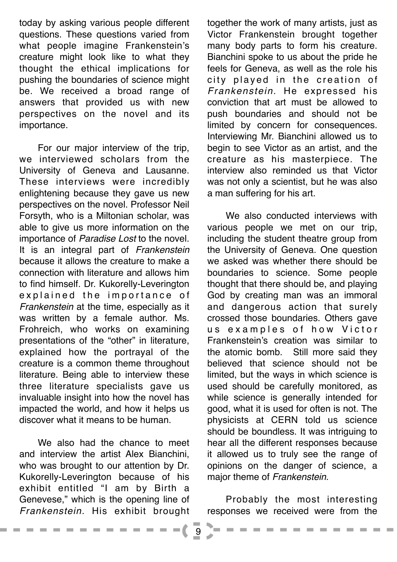today by asking various people different questions. These questions varied from what people imagine Frankenstein's creature might look like to what they thought the ethical implications for pushing the boundaries of science might be. We received a broad range of answers that provided us with new perspectives on the novel and its importance.

For our major interview of the trip, we interviewed scholars from the University of Geneva and Lausanne. These interviews were incredibly enlightening because they gave us new perspectives on the novel. Professor Neil Forsyth, who is a Miltonian scholar, was able to give us more information on the importance of *Paradise Lost* to the novel. It is an integral part of *Frankenstein* because it allows the creature to make a connection with literature and allows him to find himself. Dr. Kukorelly-Leverington explained the importance of *Frankenstein* at the time, especially as it was written by a female author. Ms. Frohreich, who works on examining presentations of the "other" in literature, explained how the portrayal of the creature is a common theme throughout literature. Being able to interview these three literature specialists gave us invaluable insight into how the novel has impacted the world, and how it helps us discover what it means to be human.

We also had the chance to meet and interview the artist Alex Bianchini, who was brought to our attention by Dr. Kukorelly-Leverington because of his exhibit entitled "I am by Birth a Genevese," which is the opening line of *Frankenstein.* His exhibit brought

- - - - -

together the work of many artists, just as Victor Frankenstein brought together many body parts to form his creature. Bianchini spoke to us about the pride he feels for Geneva, as well as the role his city played in the creation of *Frankenstein*. He expressed his conviction that art must be allowed to push boundaries and should not be limited by concern for consequences. Interviewing Mr. Bianchini allowed us to begin to see Victor as an artist, and the creature as his masterpiece. The interview also reminded us that Victor was not only a scientist, but he was also a man suffering for his art.

We also conducted interviews with various people we met on our trip, including the student theatre group from the University of Geneva. One question we asked was whether there should be boundaries to science. Some people thought that there should be, and playing God by creating man was an immoral and dangerous action that surely crossed those boundaries. Others gave us examples of how Victor Frankenstein's creation was similar to the atomic bomb. Still more said they believed that science should not be limited, but the ways in which science is used should be carefully monitored, as while science is generally intended for good, what it is used for often is not. The physicists at CERN told us science should be boundless. It was intriguing to hear all the different responses because it allowed us to truly see the range of opinions on the danger of science, a major theme of *Frankenstein*.

Probably the most interesting responses we received were from the

9

 $=$  (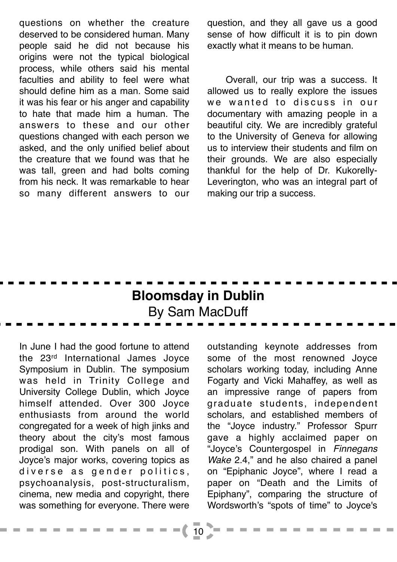questions on whether the creature deserved to be considered human. Many people said he did not because his origins were not the typical biological process, while others said his mental faculties and ability to feel were what should define him as a man. Some said it was his fear or his anger and capability to hate that made him a human. The answers to these and our other questions changed with each person we asked, and the only unified belief about the creature that we found was that he was tall, green and had bolts coming from his neck. It was remarkable to hear so many different answers to our

question, and they all gave us a good sense of how difficult it is to pin down exactly what it means to be human.

Overall, our trip was a success. It allowed us to really explore the issues we wanted to discuss in our documentary with amazing people in a beautiful city. We are incredibly grateful to the University of Geneva for allowing us to interview their students and film on their grounds. We are also especially thankful for the help of Dr. Kukorelly-Leverington, who was an integral part of making our trip a success.

### **Bloomsday in Dublin** By Sam MacDuff

In June I had the good fortune to attend the 23rd International James Joyce Symposium in Dublin. The symposium was held in Trinity College and University College Dublin, which Joyce himself attended. Over 300 Joyce enthusiasts from around the world congregated for a week of high jinks and theory about the city's most famous prodigal son. With panels on all of Joyce's major works, covering topics as diverse as gender politics, psychoanalysis, post-structuralism, cinema, new media and copyright, there was something for everyone. There were outstanding keynote addresses from some of the most renowned Joyce scholars working today, including Anne Fogarty and Vicki Mahaffey, as well as an impressive range of papers from graduate students, independent scholars, and established members of the "Joyce industry." Professor Spurr gave a highly acclaimed paper on "Joyce's Countergospel in *Finnegans Wake* 2.4," and he also chaired a panel on "Epiphanic Joyce", where I read a paper on "Death and the Limits of Epiphany", comparing the structure of Wordsworth's "spots of time" to Joyce's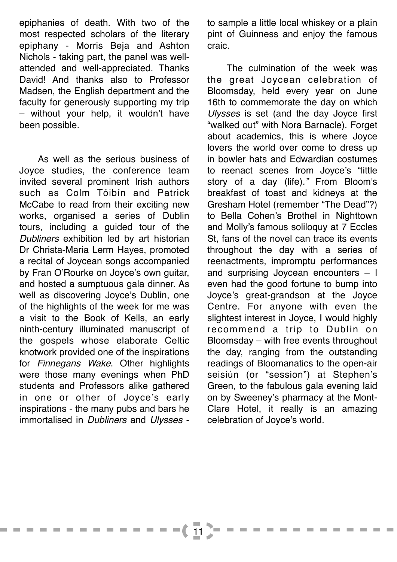epiphanies of death. With two of the most respected scholars of the literary epiphany - Morris Beja and Ashton Nichols - taking part, the panel was wellattended and well-appreciated. Thanks David! And thanks also to Professor Madsen, the English department and the faculty for generously supporting my trip – without your help, it wouldn't have been possible.

As well as the serious business of Joyce studies, the conference team invited several prominent Irish authors such as Colm Tóibín and Patrick McCabe to read from their exciting new works, organised a series of Dublin tours, including a guided tour of the *Dubliners* exhibition led by art historian Dr Christa-Maria Lerm Hayes, promoted a recital of Joycean songs accompanied by Fran O'Rourke on Joyce's own guitar, and hosted a sumptuous gala dinner. As well as discovering Joyce's Dublin, one of the highlights of the week for me was a visit to the Book of Kells, an early ninth-century illuminated manuscript of the gospels whose elaborate Celtic knotwork provided one of the inspirations for *Finnegans Wake*. Other highlights were those many evenings when PhD students and Professors alike gathered in one or other of Joyce's early inspirations - the many pubs and bars he immortalised in *Dubliners* and *Ulysses* - to sample a little local whiskey or a plain pint of Guinness and enjoy the famous craic.

The culmination of the week was the great Joycean celebration of Bloomsday, held every year on June 16th to commemorate the day on which *Ulysses* is set (and the day Joyce first "walked out" with Nora Barnacle). Forget about academics, this is where Joyce lovers the world over come to dress up in bowler hats and Edwardian costumes to reenact scenes from Joyce's "little story of a day (life)*."* From Bloom's breakfast of toast and kidneys at the Gresham Hotel (remember "The Dead"?) to Bella Cohen's Brothel in Nighttown and Molly's famous soliloquy at 7 Eccles St, fans of the novel can trace its events throughout the day with a series of reenactments, impromptu performances and surprising Joycean encounters – I even had the good fortune to bump into Joyce's great-grandson at the Joyce Centre. For anyone with even the slightest interest in Joyce, I would highly recommend a trip to Dublin on Bloomsday – with free events throughout the day, ranging from the outstanding readings of Bloomanatics to the open-air seisiún (or "session") at Stephen's Green, to the fabulous gala evening laid on by Sweeney's pharmacy at the Mont-Clare Hotel, it really is an amazing celebration of Joyce's world.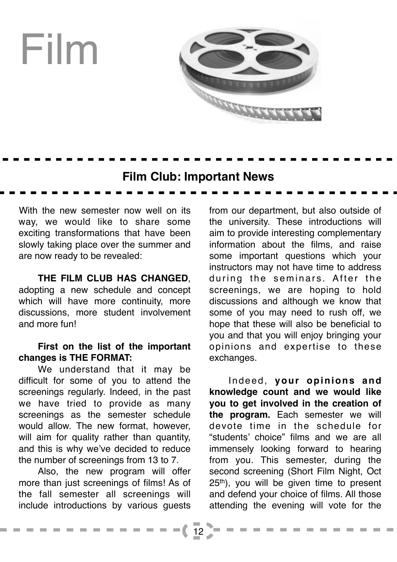

### **Film Club: Important News**

With the new semester now well on its way, we would like to share some exciting transformations that have been slowly taking place over the summer and are now ready to be revealed:

#### **THE FILM CLUB HAS CHANGED**,

adopting a new schedule and concept which will have more continuity, more discussions, more student involvement and more fun!

#### **First on the list of the important changes is THE FORMAT:**

We understand that it may be difficult for some of you to attend the screenings regularly. Indeed, in the past we have tried to provide as many screenings as the semester schedule would allow. The new format, however, will aim for quality rather than quantity, and this is why we've decided to reduce the number of screenings from 13 to 7.

Also, the new program will offer more than just screenings of films! As of the fall semester all screenings will include introductions by various guests

from our department, but also outside of the university. These introductions will aim to provide interesting complementary information about the films, and raise some important questions which your instructors may not have time to address during the seminars. After the screenings, we are hoping to hold discussions and although we know that some of you may need to rush off, we hope that these will also be beneficial to you and that you will enjoy bringing your opinions and expertise to these exchanges.

Indeed, **your opinions and knowledge count and we would like you to get involved in the creation of the program.** Each semester we will devote time in the schedule for "students' choice" films and we are all immensely looking forward to hearing from you. This semester, during the second screening (Short Film Night, Oct 25th), you will be given time to present and defend your choice of films. All those attending the evening will vote for the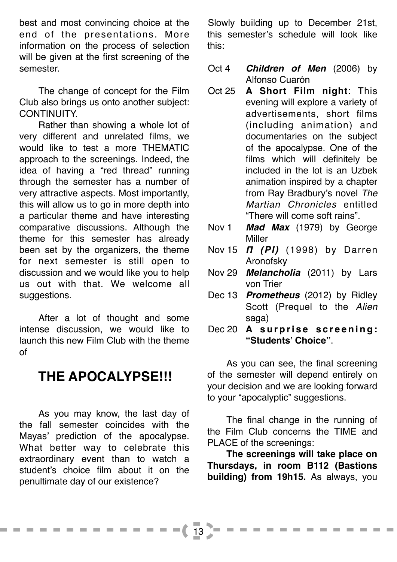best and most convincing choice at the end of the presentations. More information on the process of selection will be given at the first screening of the semester.

The change of concept for the Film Club also brings us onto another subject: CONTINUITY.

Rather than showing a whole lot of very different and unrelated films, we would like to test a more THEMATIC approach to the screenings. Indeed, the idea of having a "red thread" running through the semester has a number of very attractive aspects. Most importantly, this will allow us to go in more depth into a particular theme and have interesting comparative discussions. Although the theme for this semester has already been set by the organizers, the theme for next semester is still open to discussion and we would like you to help us out with that. We welcome all suggestions.

After a lot of thought and some intense discussion, we would like to launch this new Film Club with the theme of

### **THE APOCALYPSE!!!**

As you may know, the last day of the fall semester coincides with the Mayas' prediction of the apocalypse. What better way to celebrate this extraordinary event than to watch a student's choice film about it on the penultimate day of our existence?

**Contract Contract** 

Slowly building up to December 21st, this semester's schedule will look like this:

- Oct 4 *Children of Men* (2006) by Alfonso Cuarón
- Oct 25 **A Short Film night**: This evening will explore a variety of advertisements, short films (including animation) and documentaries on the subject of the apocalypse. One of the films which will definitely be included in the lot is an Uzbek animation inspired by a chapter from Ray Bradbury's novel *The Martian Chronicles* entitled "There will come soft rains".
- Nov 1 *Mad Max* (1979) by George Miller
- Nov 15 **Π** *(PI)* (1998) by Darren Aronofsky
- Nov 29 *Melancholia* (2011) by Lars von Trier
- Dec 13 *Prometheus* (2012) by Ridley Scott (Prequel to the *Alien*  saga)
- Dec 20 **A surprise screening: "Students' Choice"**.

As you can see, the final screening of the semester will depend entirely on your decision and we are looking forward to your "apocalyptic" suggestions.

The final change in the running of the Film Club concerns the TIME and PLACE of the screenings:

**The screenings will take place on Thursdays, in room B112 (Bastions building) from 19h15.** As always, you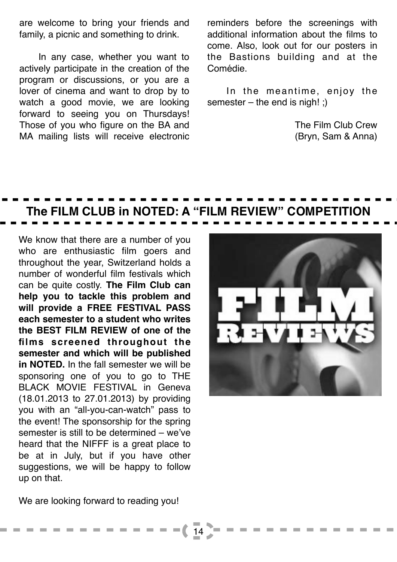are welcome to bring your friends and family, a picnic and something to drink.

In any case, whether you want to actively participate in the creation of the program or discussions, or you are a lover of cinema and want to drop by to watch a good movie, we are looking forward to seeing you on Thursdays! Those of you who figure on the BA and MA mailing lists will receive electronic

reminders before the screenings with additional information about the films to come. Also, look out for our posters in the Bastions building and at the Comédie.

In the meantime, enjoy the semester – the end is nigh! ;)

> The Film Club Crew (Bryn, Sam & Anna)

### **The FILM CLUB in NOTED: A "FILM REVIEW" COMPETITION**

14

We know that there are a number of you who are enthusiastic film goers and throughout the year, Switzerland holds a number of wonderful film festivals which can be quite costly. **The Film Club can help you to tackle this problem and will provide a FREE FESTIVAL PASS each semester to a student who writes the BEST FILM REVIEW of one of the films screened throughout the semester and which will be published in NOTED.** In the fall semester we will be sponsoring one of you to go to THE BLACK MOVIE FESTIVAL in Geneva (18.01.2013 to 27.01.2013) by providing you with an "all-you-can-watch" pass to the event! The sponsorship for the spring semester is still to be determined – we've heard that the NIFFF is a great place to be at in July, but if you have other suggestions, we will be happy to follow up on that.



We are looking forward to reading you!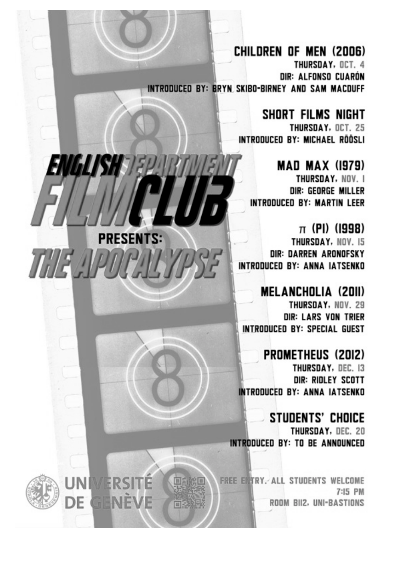CHILDREN OF MEN (2006) THURSDAY, OCT. 4 DIR: ALFONSO CUARÓN INTRODUCED BY: BRYN SKIBO-BIRNEY AND SAM MACDUFF

*ENGLISH 18P* 

THE APOPALYA

**UNIVERSITE** 

DE GENÈVE

回流影回

向外

**PRESENTS:** 

SHORT FILMS NIGHT THURSDAY, OCT. 25 INTRODUCED BY: MICHAEL RÖÖSLI

**MAD MAX (1979)** THURSDAY, NOV. I DIR: GEORGE MILLER INTRODUCED BY: MARTIN LEER

 $\pi$  (PI) (1998) THURSDAY, NOV. 15 DIR: DARREN ARDNOFSKY INTRODUCED BY: ANNA IATSENKO

**MELANCHOLIA (2011)** THURSDAY, NOV. 29 **DIR: LARS VON TRIER** INTRODUCED BY: SPECIAL GUEST

**PROMETHEUS (2012)** THURSDAY, DEC. 13 DIR: RIDLEY SCOTT **INTRODUCED BY: ANNA IATSENKO** 

**STUDENTS' CHOICE** THURSDAY, DEC. 20 INTRODUCED BY: TO BE ANNOUNCED

FREE ENTRY. ALL STUDENTS WELCOME 7:15 PM ROOM BII2, UNI-BASTIONS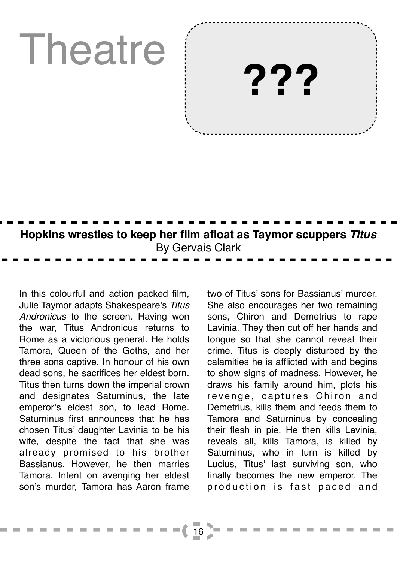## Theatre

**???**

## **Hopkins wrestles to keep her film afloat as Taymor scuppers** *Titus* By Gervais Clark

In this colourful and action packed film, Julie Taymor adapts Shakespeare's *Titus Andronicus* to the screen. Having won the war, Titus Andronicus returns to Rome as a victorious general. He holds Tamora, Queen of the Goths, and her three sons captive. In honour of his own dead sons, he sacrifices her eldest born. Titus then turns down the imperial crown and designates Saturninus, the late emperor's eldest son, to lead Rome. Saturninus first announces that he has chosen Titus' daughter Lavinia to be his wife, despite the fact that she was already promised to his brother Bassianus. However, he then marries Tamora. Intent on avenging her eldest son's murder, Tamora has Aaron frame two of Titus' sons for Bassianus' murder. She also encourages her two remaining sons, Chiron and Demetrius to rape Lavinia. They then cut off her hands and tongue so that she cannot reveal their crime. Titus is deeply disturbed by the calamities he is afflicted with and begins to show signs of madness. However, he draws his family around him, plots his revenge, captures Chiron and Demetrius, kills them and feeds them to Tamora and Saturninus by concealing their flesh in pie. He then kills Lavinia, reveals all, kills Tamora, is killed by Saturninus, who in turn is killed by Lucius, Titus' last surviving son, who finally becomes the new emperor. The production is fast paced and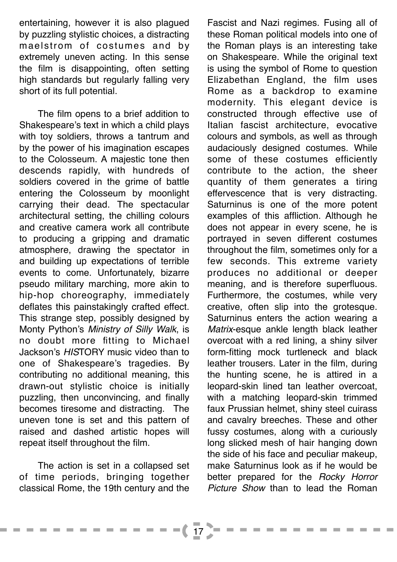entertaining, however it is also plagued by puzzling stylistic choices, a distracting maelstrom of costumes and by extremely uneven acting. In this sense the film is disappointing, often setting high standards but regularly falling very short of its full potential.

The film opens to a brief addition to Shakespeare's text in which a child plays with toy soldiers, throws a tantrum and by the power of his imagination escapes to the Colosseum. A majestic tone then descends rapidly, with hundreds of soldiers covered in the grime of battle entering the Colosseum by moonlight carrying their dead. The spectacular architectural setting, the chilling colours and creative camera work all contribute to producing a gripping and dramatic atmosphere, drawing the spectator in and building up expectations of terrible events to come. Unfortunately, bizarre pseudo military marching, more akin to hip-hop choreography, immediately deflates this painstakingly crafted effect. This strange step, possibly designed by Monty Python's *Ministry of Silly Walk*, is no doubt more fitting to Michael Jackson's *HIS*TORY music video than to one of Shakespeare's tragedies. By contributing no additional meaning, this drawn-out stylistic choice is initially puzzling, then unconvincing, and finally becomes tiresome and distracting. The uneven tone is set and this pattern of raised and dashed artistic hopes will repeat itself throughout the film.

The action is set in a collapsed set of time periods, bringing together classical Rome, the 19th century and the

. . .

 $=$  (17

Fascist and Nazi regimes. Fusing all of these Roman political models into one of the Roman plays is an interesting take on Shakespeare. While the original text is using the symbol of Rome to question Elizabethan England, the film uses Rome as a backdrop to examine modernity. This elegant device is constructed through effective use of Italian fascist architecture, evocative colours and symbols, as well as through audaciously designed costumes. While some of these costumes efficiently contribute to the action, the sheer quantity of them generates a tiring effervescence that is very distracting. Saturninus is one of the more potent examples of this affliction. Although he does not appear in every scene, he is portrayed in seven different costumes throughout the film, sometimes only for a few seconds. This extreme variety produces no additional or deeper meaning, and is therefore superfluous. Furthermore, the costumes, while very creative, often slip into the grotesque. Saturninus enters the action wearing a *Matrix*-esque ankle length black leather overcoat with a red lining, a shiny silver form-fitting mock turtleneck and black leather trousers. Later in the film, during the hunting scene, he is attired in a leopard-skin lined tan leather overcoat, with a matching leopard-skin trimmed faux Prussian helmet, shiny steel cuirass and cavalry breeches. These and other fussy costumes, along with a curiously long slicked mesh of hair hanging down the side of his face and peculiar makeup, make Saturninus look as if he would be better prepared for the *Rocky Horror Picture Show* than to lead the Roman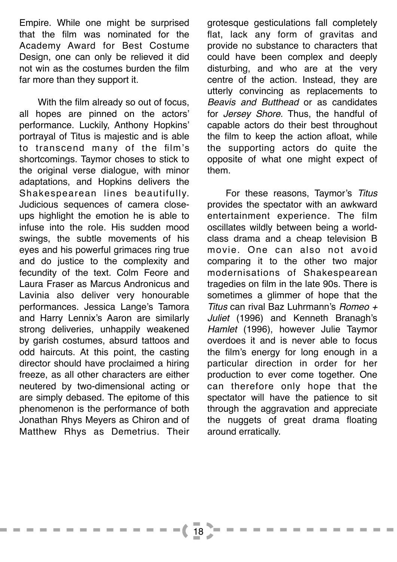Empire. While one might be surprised that the film was nominated for the Academy Award for Best Costume Design, one can only be relieved it did not win as the costumes burden the film far more than they support it.

With the film already so out of focus, all hopes are pinned on the actors' performance. Luckily, Anthony Hopkins' portrayal of Titus is majestic and is able to transcend many of the film's shortcomings. Taymor choses to stick to the original verse dialogue, with minor adaptations, and Hopkins delivers the Shakespearean lines beautifully. Judicious sequences of camera closeups highlight the emotion he is able to infuse into the role. His sudden mood swings, the subtle movements of his eyes and his powerful grimaces ring true and do justice to the complexity and fecundity of the text. Colm Feore and Laura Fraser as Marcus Andronicus and Lavinia also deliver very honourable performances. Jessica Lange's Tamora and Harry Lennix's Aaron are similarly strong deliveries, unhappily weakened by garish costumes, absurd tattoos and odd haircuts. At this point, the casting director should have proclaimed a hiring freeze, as all other characters are either neutered by two-dimensional acting or are simply debased. The epitome of this phenomenon is the performance of both Jonathan Rhys Meyers as Chiron and of Matthew Rhys as Demetrius. Their

**CONTRACTOR** 

grotesque gesticulations fall completely flat, lack any form of gravitas and provide no substance to characters that could have been complex and deeply disturbing, and who are at the very centre of the action. Instead, they are utterly convincing as replacements to *Beavis and Butthead* or as candidates for *Jersey Shore*. Thus, the handful of capable actors do their best throughout the film to keep the action afloat, while the supporting actors do quite the opposite of what one might expect of them.

For these reasons, Taymor's *Titus* provides the spectator with an awkward entertainment experience. The film oscillates wildly between being a worldclass drama and a cheap television B movie. One can also not avoid comparing it to the other two major modernisations of Shakespearean tragedies on film in the late 90s. There is sometimes a glimmer of hope that the *Titus* can rival Baz Luhrmann's *Romeo + Juliet* (1996) and Kenneth Branagh's *Hamlet* (1996), however Julie Taymor overdoes it and is never able to focus the film's energy for long enough in a particular direction in order for her production to ever come together. One can therefore only hope that the spectator will have the patience to sit through the aggravation and appreciate the nuggets of great drama floating around erratically.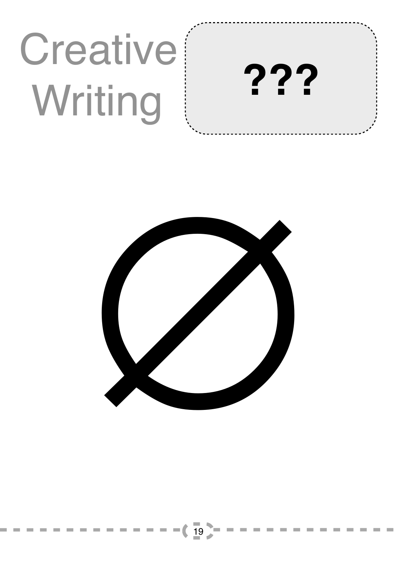## **Creative**  Writing **???**